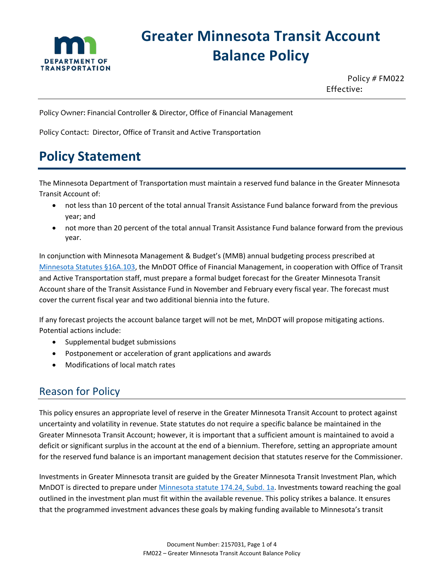

# **Greater Minnesota Transit Account Balance Policy**

Policy # FM022 Effective:

Policy Owner: Financial Controller & Director, Office of Financial Management

Policy Contact: Director, Office of Transit and Active Transportation

## **Policy Statement**

The Minnesota Department of Transportation must maintain a reserved fund balance in the Greater Minnesota Transit Account of:

- not less than 10 percent of the total annual Transit Assistance Fund balance forward from the previous year; and
- not more than 20 percent of the total annual Transit Assistance Fund balance forward from the previous year.

In conjunction with Minnesota Management & Budget's (MMB) annual budgeting process prescribed at [Minnesota Statutes §16A.103,](https://www.revisor.mn.gov/statutes/cite/16A.103) the MnDOT Office of Financial Management, in cooperation with Office of Transit and Active Transportation staff, must prepare a formal budget forecast for the Greater Minnesota Transit Account share of the Transit Assistance Fund in November and February every fiscal year. The forecast must cover the current fiscal year and two additional biennia into the future.

If any forecast projects the account balance target will not be met, MnDOT will propose mitigating actions. Potential actions include:

- Supplemental budget submissions
- Postponement or acceleration of grant applications and awards
- Modifications of local match rates

### Reason for Policy

This policy ensures an appropriate level of reserve in the Greater Minnesota Transit Account to protect against uncertainty and volatility in revenue. State statutes do not require a specific balance be maintained in the Greater Minnesota Transit Account; however, it is important that a sufficient amount is maintained to avoid a deficit or significant surplus in the account at the end of a biennium. Therefore, setting an appropriate amount for the reserved fund balance is an important management decision that statutes reserve for the Commissioner.

Investments in Greater Minnesota transit are guided by the Greater Minnesota Transit Investment Plan, which MnDOT is directed to prepare under [Minnesota statute 174.24, Subd. 1a.](https://www.revisor.mn.gov/statutes/cite/174.24) Investments toward reaching the goal outlined in the investment plan must fit within the available revenue. This policy strikes a balance. It ensures that the programmed investment advances these goals by making funding available to Minnesota's transit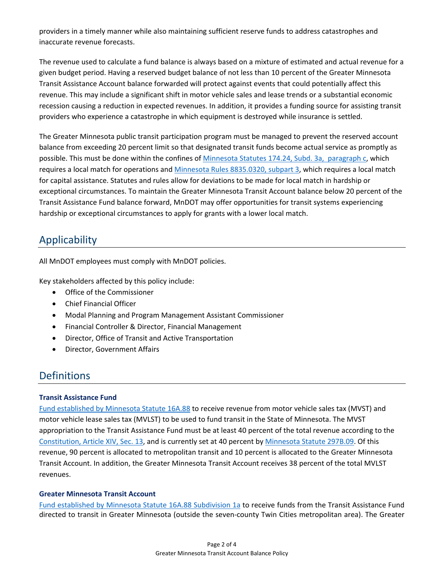providers in a timely manner while also maintaining sufficient reserve funds to address catastrophes and inaccurate revenue forecasts.

The revenue used to calculate a fund balance is always based on a mixture of estimated and actual revenue for a given budget period. Having a reserved budget balance of not less than 10 percent of the Greater Minnesota Transit Assistance Account balance forwarded will protect against events that could potentially affect this revenue. This may include a significant shift in motor vehicle sales and lease trends or a substantial economic recession causing a reduction in expected revenues. In addition, it provides a funding source for assisting transit providers who experience a catastrophe in which equipment is destroyed while insurance is settled.

The Greater Minnesota public transit participation program must be managed to prevent the reserved account balance from exceeding 20 percent limit so that designated transit funds become actual service as promptly as possible. This must be done within the confines of [Minnesota Statutes 174.24, Subd. 3a, paragraph c,](https://www.revisor.mn.gov/statutes/cite/174.24) which requires a local match for operations an[d Minnesota Rules 8835.0320,](https://www.revisor.mn.gov/rules/?id=8835.0320) subpart 3, which requires a local match for capital assistance. Statutes and rules allow for deviations to be made for local match in hardship or exceptional circumstances. To maintain the Greater Minnesota Transit Account balance below 20 percent of the Transit Assistance Fund balance forward, MnDOT may offer opportunities for transit systems experiencing hardship or exceptional circumstances to apply for grants with a lower local match.

### Applicability

All MnDOT employees must comply with MnDOT policies.

Key stakeholders affected by this policy include:

- Office of the Commissioner
- Chief Financial Officer
- Modal Planning and Program Management Assistant Commissioner
- Financial Controller & Director, Financial Management
- Director, Office of Transit and Active Transportation
- Director, Government Affairs

### Definitions

#### **Transit Assistance Fund**

Fund established by [Minnesota Statute 16A.88](https://www.revisor.mn.gov/statutes/?id=16A.88) to receive revenue from motor vehicle sales tax (MVST) and motor vehicle lease sales tax (MVLST) to be used to fund transit in the State of Minnesota. The MVST appropriation to the Transit Assistance Fund must be at least 40 percent of the total revenue according to the [Constitution, Article XIV, Sec. 13,](https://www.revisor.leg.state.mn.us/constitution/) and is currently set at 40 percent by [Minnesota Statute 297B.09.](https://www.revisor.leg.state.mn.us/statutes/?id=297B.09) Of this revenue, 90 percent is allocated to metropolitan transit and 10 percent is allocated to the Greater Minnesota Transit Account. In addition, the Greater Minnesota Transit Account receives 38 percent of the total MVLST revenues.

#### **Greater Minnesota Transit Account**

Fund established by [Minnesota Statute 16A.88 Subdivision 1a](https://www.revisor.mn.gov/statutes/cite/16A.88) to receive funds from the Transit Assistance Fund directed to transit in Greater Minnesota (outside the seven-county Twin Cities metropolitan area). The Greater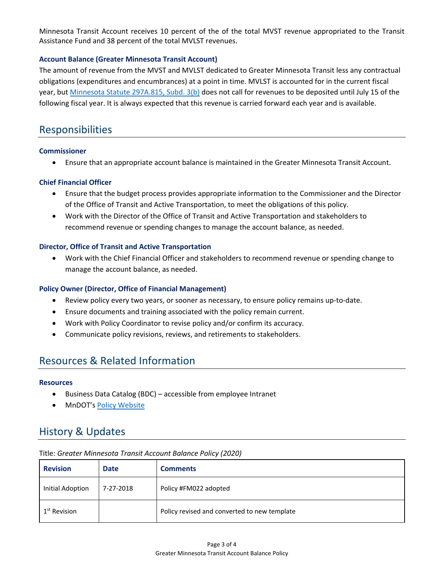Minnesota Transit Account receives 10 percent of the of the total MVST revenue appropriated to the Transit Assistance Fund and 38 percent of the total MVLST revenues.

#### **Account Balance (Greater Minnesota Transit Account)**

The amount of revenue from the MVST and MVLST dedicated to Greater Minnesota Transit less any contractual obligations (expenditures and encumbrances) at a point in time. MVLST is accounted for in the current fiscal year, but [Minnesota Statute 297A.815, Subd. 3\(b\)](https://www.revisor.mn.gov/statutes/cite/297A.815) does not call for revenues to be deposited until July 15 of the following fiscal year. It is always expected that this revenue is carried forward each year and is available.

### Responsibilities

#### **Commissioner**

• Ensure that an appropriate account balance is maintained in the Greater Minnesota Transit Account.

#### **Chief Financial Officer**

- Ensure that the budget process provides appropriate information to the Commissioner and the Director of the Office of Transit and Active Transportation, to meet the obligations of this policy.
- Work with the Director of the Office of Transit and Active Transportation and stakeholders to recommend revenue or spending changes to manage the account balance, as needed.

#### **Director, Office of Transit and Active Transportation**

• Work with the Chief Financial Officer and stakeholders to recommend revenue or spending change to manage the account balance, as needed.

#### **Policy Owner (Director, Office of Financial Management)**

- Review policy every two years, or sooner as necessary, to ensure policy remains up-to-date.
- Ensure documents and training associated with the policy remain current.
- Work with Policy Coordinator to revise policy and/or confirm its accuracy.
- Communicate policy revisions, reviews, and retirements to stakeholders.

### Resources & Related Information

#### **Resources**

- Business Data Catalog (BDC) accessible from employee Intranet
- MnDOT's [Policy Website](http://www.dot.state.mn.us/policy/index.html)

### History & Updates

| <b>Revision</b>          | <b>Date</b> | <b>Comments</b>                              |
|--------------------------|-------------|----------------------------------------------|
| Initial Adoption         | 7-27-2018   | Policy #FM022 adopted                        |
| 1 <sup>st</sup> Revision |             | Policy revised and converted to new template |

#### Title: *Greater Minnesota Transit Account Balance Policy (2020)*